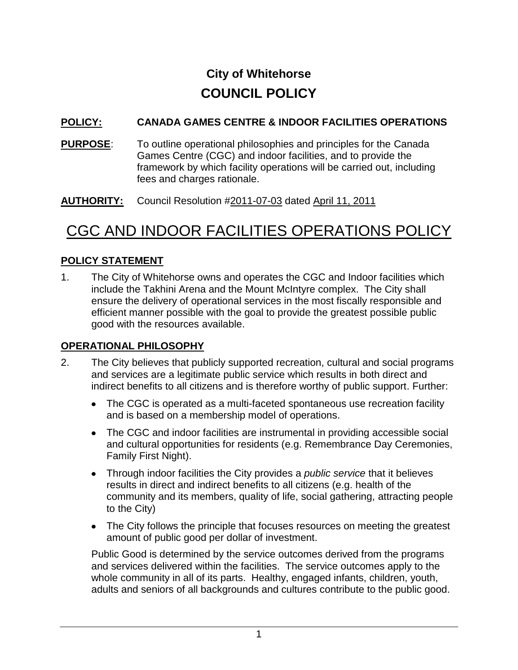# **City of Whitehorse COUNCIL POLICY**

## **POLICY: CANADA GAMES CENTRE & INDOOR FACILITIES OPERATIONS**

**PURPOSE:** To outline operational philosophies and principles for the Canada Games Centre (CGC) and indoor facilities, and to provide the framework by which facility operations will be carried out, including fees and charges rationale.

**AUTHORITY:** Council Resolution #2011-07-03 dated April 11, 2011

# CGC AND INDOOR FACILITIES OPERATIONS POLICY

# **POLICY STATEMENT**

1. The City of Whitehorse owns and operates the CGC and Indoor facilities which include the Takhini Arena and the Mount McIntyre complex. The City shall ensure the delivery of operational services in the most fiscally responsible and efficient manner possible with the goal to provide the greatest possible public good with the resources available.

### **OPERATIONAL PHILOSOPHY**

- 2. The City believes that publicly supported recreation, cultural and social programs and services are a legitimate public service which results in both direct and indirect benefits to all citizens and is therefore worthy of public support. Further:
	- The CGC is operated as a multi-faceted spontaneous use recreation facility and is based on a membership model of operations.
	- The CGC and indoor facilities are instrumental in providing accessible social and cultural opportunities for residents (e.g. Remembrance Day Ceremonies, Family First Night).
	- Through indoor facilities the City provides a *public service* that it believes results in direct and indirect benefits to all citizens (e.g. health of the community and its members, quality of life, social gathering, attracting people to the City)
	- The City follows the principle that focuses resources on meeting the greatest amount of public good per dollar of investment.

Public Good is determined by the service outcomes derived from the programs and services delivered within the facilities. The service outcomes apply to the whole community in all of its parts. Healthy, engaged infants, children, youth, adults and seniors of all backgrounds and cultures contribute to the public good.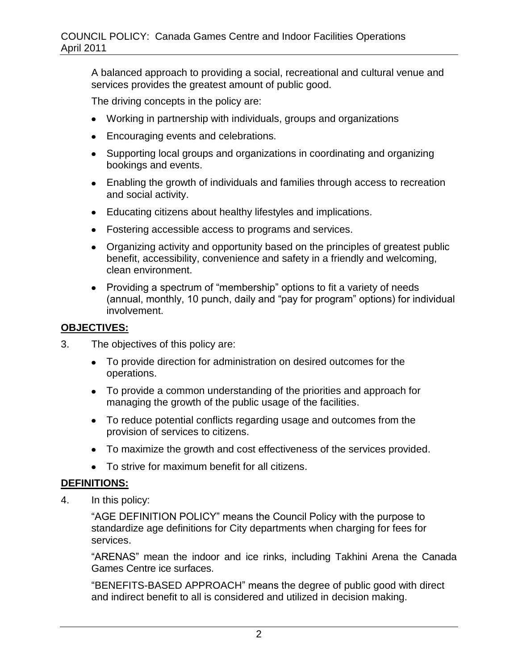A balanced approach to providing a social, recreational and cultural venue and services provides the greatest amount of public good.

The driving concepts in the policy are:

- Working in partnership with individuals, groups and organizations
- **Encouraging events and celebrations.**
- Supporting local groups and organizations in coordinating and organizing bookings and events.
- Enabling the growth of individuals and families through access to recreation and social activity.
- Educating citizens about healthy lifestyles and implications.
- Fostering accessible access to programs and services.
- Organizing activity and opportunity based on the principles of greatest public benefit, accessibility, convenience and safety in a friendly and welcoming, clean environment.
- Providing a spectrum of "membership" options to fit a variety of needs (annual, monthly, 10 punch, daily and "pay for program" options) for individual involvement.

### **OBJECTIVES:**

- 3. The objectives of this policy are:
	- To provide direction for administration on desired outcomes for the operations.
	- To provide a common understanding of the priorities and approach for managing the growth of the public usage of the facilities.
	- To reduce potential conflicts regarding usage and outcomes from the provision of services to citizens.
	- To maximize the growth and cost effectiveness of the services provided.
	- To strive for maximum benefit for all citizens.

### **DEFINITIONS:**

4. In this policy:

"AGE DEFINITION POLICY" means the Council Policy with the purpose to standardize age definitions for City departments when charging for fees for services.

"ARENAS" mean the indoor and ice rinks, including Takhini Arena the Canada Games Centre ice surfaces.

"BENEFITS-BASED APPROACH" means the degree of public good with direct and indirect benefit to all is considered and utilized in decision making.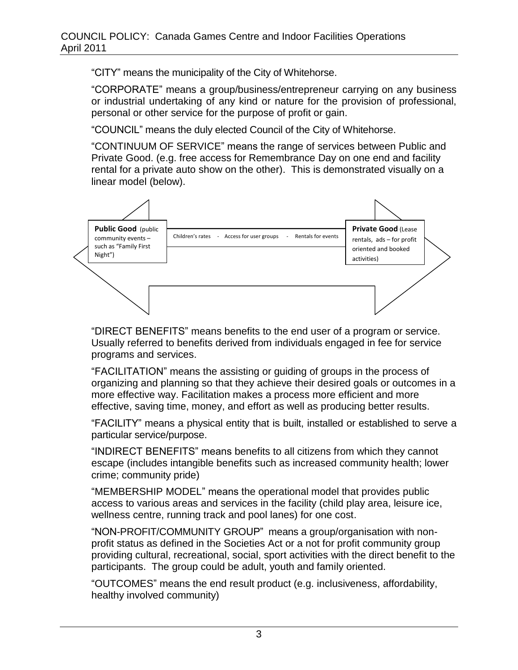"CITY" means the municipality of the City of Whitehorse.

"CORPORATE" means a group/business/entrepreneur carrying on any business or industrial undertaking of any kind or nature for the provision of professional, personal or other service for the purpose of profit or gain.

"COUNCIL" means the duly elected Council of the City of Whitehorse.

"CONTINUUM OF SERVICE" means the range of services between Public and Private Good. (e.g. free access for Remembrance Day on one end and facility rental for a private auto show on the other). This is demonstrated visually on a linear model (below).



"DIRECT BENEFITS" means benefits to the end user of a program or service. Usually referred to benefits derived from individuals engaged in fee for service programs and services.

"FACILITATION" means the assisting or guiding of groups in the process of organizing and planning so that they achieve their desired goals or outcomes in a more effective way. Facilitation makes a process more efficient and more effective, saving time, money, and effort as well as producing better results.

"FACILITY" means a physical entity that is built, installed or established to serve a particular service/purpose.

"INDIRECT BENEFITS" means benefits to all citizens from which they cannot escape (includes intangible benefits such as increased community health; lower crime; community pride)

"MEMBERSHIP MODEL" means the operational model that provides public access to various areas and services in the facility (child play area, leisure ice, wellness centre, running track and pool lanes) for one cost.

"NON-PROFIT/COMMUNITY GROUP" means a group/organisation with nonprofit status as defined in the Societies Act or a not for profit community group providing cultural, recreational, social, sport activities with the direct benefit to the participants. The group could be adult, youth and family oriented.

"OUTCOMES" means the end result product (e.g. inclusiveness, affordability, healthy involved community)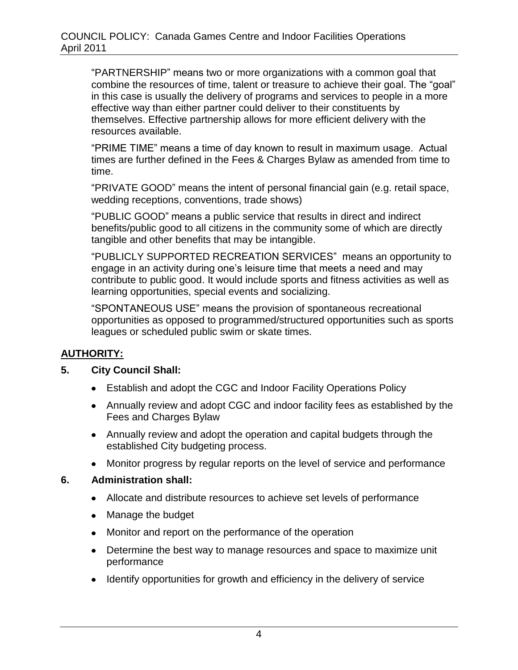"PARTNERSHIP" means two or more organizations with a common goal that combine the resources of time, talent or treasure to achieve their goal. The "goal" in this case is usually the delivery of programs and services to people in a more effective way than either partner could deliver to their constituents by themselves. Effective partnership allows for more efficient delivery with the resources available.

"PRIME TIME" means a time of day known to result in maximum usage. Actual times are further defined in the Fees & Charges Bylaw as amended from time to time.

"PRIVATE GOOD" means the intent of personal financial gain (e.g. retail space, wedding receptions, conventions, trade shows)

"PUBLIC GOOD" means a public service that results in direct and indirect benefits/public good to all citizens in the community some of which are directly tangible and other benefits that may be intangible.

"PUBLICLY SUPPORTED RECREATION SERVICES" means an opportunity to engage in an activity during one's leisure time that meets a need and may contribute to public good. It would include sports and fitness activities as well as learning opportunities, special events and socializing.

"SPONTANEOUS USE" means the provision of spontaneous recreational opportunities as opposed to programmed/structured opportunities such as sports leagues or scheduled public swim or skate times.

### **AUTHORITY:**

#### **5. City Council Shall:**

- Establish and adopt the CGC and Indoor Facility Operations Policy
- Annually review and adopt CGC and indoor facility fees as established by the Fees and Charges Bylaw
- Annually review and adopt the operation and capital budgets through the established City budgeting process.
- Monitor progress by regular reports on the level of service and performance

#### **6. Administration shall:**

- Allocate and distribute resources to achieve set levels of performance
- Manage the budget
- Monitor and report on the performance of the operation
- Determine the best way to manage resources and space to maximize unit performance
- Identify opportunities for growth and efficiency in the delivery of service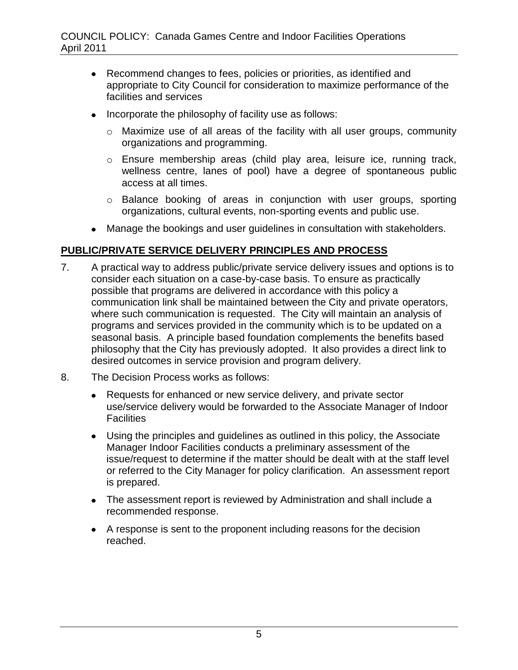- Recommend changes to fees, policies or priorities, as identified and appropriate to City Council for consideration to maximize performance of the facilities and services
- Incorporate the philosophy of facility use as follows:
	- o Maximize use of all areas of the facility with all user groups, community organizations and programming.
	- o Ensure membership areas (child play area, leisure ice, running track, wellness centre, lanes of pool) have a degree of spontaneous public access at all times.
	- o Balance booking of areas in conjunction with user groups, sporting organizations, cultural events, non-sporting events and public use.
- Manage the bookings and user guidelines in consultation with stakeholders.

### **PUBLIC/PRIVATE SERVICE DELIVERY PRINCIPLES AND PROCESS**

- 7. A practical way to address public/private service delivery issues and options is to consider each situation on a case-by-case basis. To ensure as practically possible that programs are delivered in accordance with this policy a communication link shall be maintained between the City and private operators, where such communication is requested. The City will maintain an analysis of programs and services provided in the community which is to be updated on a seasonal basis. A principle based foundation complements the benefits based philosophy that the City has previously adopted. It also provides a direct link to desired outcomes in service provision and program delivery.
- 8. The Decision Process works as follows:
	- Requests for enhanced or new service delivery, and private sector use/service delivery would be forwarded to the Associate Manager of Indoor **Facilities**
	- Using the principles and guidelines as outlined in this policy, the Associate Manager Indoor Facilities conducts a preliminary assessment of the issue/request to determine if the matter should be dealt with at the staff level or referred to the City Manager for policy clarification. An assessment report is prepared.
	- The assessment report is reviewed by Administration and shall include a recommended response.
	- A response is sent to the proponent including reasons for the decision reached.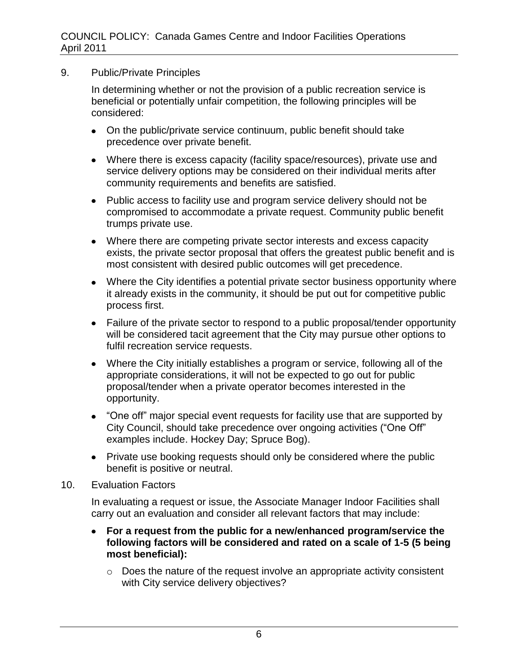9. Public/Private Principles

In determining whether or not the provision of a public recreation service is beneficial or potentially unfair competition, the following principles will be considered:

- On the public/private service continuum, public benefit should take precedence over private benefit.
- Where there is excess capacity (facility space/resources), private use and service delivery options may be considered on their individual merits after community requirements and benefits are satisfied.
- Public access to facility use and program service delivery should not be compromised to accommodate a private request. Community public benefit trumps private use.
- Where there are competing private sector interests and excess capacity exists, the private sector proposal that offers the greatest public benefit and is most consistent with desired public outcomes will get precedence.
- Where the City identifies a potential private sector business opportunity where it already exists in the community, it should be put out for competitive public process first.
- Failure of the private sector to respond to a public proposal/tender opportunity will be considered tacit agreement that the City may pursue other options to fulfil recreation service requests.
- Where the City initially establishes a program or service, following all of the appropriate considerations, it will not be expected to go out for public proposal/tender when a private operator becomes interested in the opportunity.
- "One off" major special event requests for facility use that are supported by City Council, should take precedence over ongoing activities ("One Off" examples include. Hockey Day; Spruce Bog).
- Private use booking requests should only be considered where the public benefit is positive or neutral.
- 10. Evaluation Factors

In evaluating a request or issue, the Associate Manager Indoor Facilities shall carry out an evaluation and consider all relevant factors that may include:

- **For a request from the public for a new/enhanced program/service the following factors will be considered and rated on a scale of 1-5 (5 being most beneficial):**
	- o Does the nature of the request involve an appropriate activity consistent with City service delivery objectives?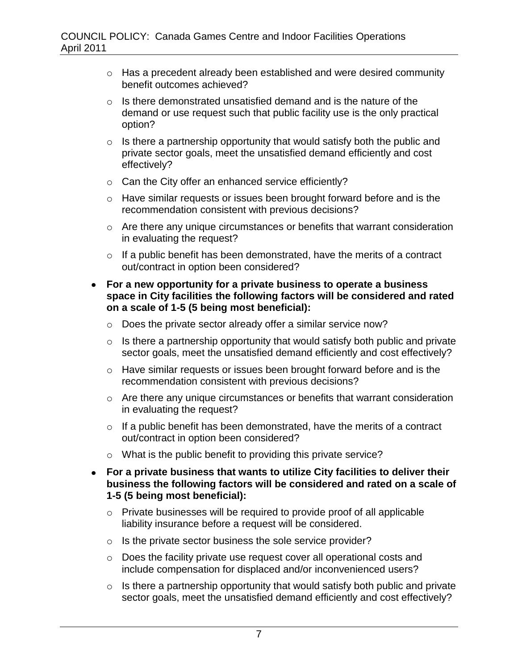- o Has a precedent already been established and were desired community benefit outcomes achieved?
- $\circ$  Is there demonstrated unsatisfied demand and is the nature of the demand or use request such that public facility use is the only practical option?
- $\circ$  Is there a partnership opportunity that would satisfy both the public and private sector goals, meet the unsatisfied demand efficiently and cost effectively?
- o Can the City offer an enhanced service efficiently?
- o Have similar requests or issues been brought forward before and is the recommendation consistent with previous decisions?
- o Are there any unique circumstances or benefits that warrant consideration in evaluating the request?
- $\circ$  If a public benefit has been demonstrated, have the merits of a contract out/contract in option been considered?
- **For a new opportunity for a private business to operate a business space in City facilities the following factors will be considered and rated on a scale of 1-5 (5 being most beneficial):**
	- o Does the private sector already offer a similar service now?
	- $\circ$  Is there a partnership opportunity that would satisfy both public and private sector goals, meet the unsatisfied demand efficiently and cost effectively?
	- o Have similar requests or issues been brought forward before and is the recommendation consistent with previous decisions?
	- o Are there any unique circumstances or benefits that warrant consideration in evaluating the request?
	- $\circ$  If a public benefit has been demonstrated, have the merits of a contract out/contract in option been considered?
	- o What is the public benefit to providing this private service?
- **For a private business that wants to utilize City facilities to deliver their business the following factors will be considered and rated on a scale of 1-5 (5 being most beneficial):**
	- o Private businesses will be required to provide proof of all applicable liability insurance before a request will be considered.
	- o Is the private sector business the sole service provider?
	- o Does the facility private use request cover all operational costs and include compensation for displaced and/or inconvenienced users?
	- $\circ$  Is there a partnership opportunity that would satisfy both public and private sector goals, meet the unsatisfied demand efficiently and cost effectively?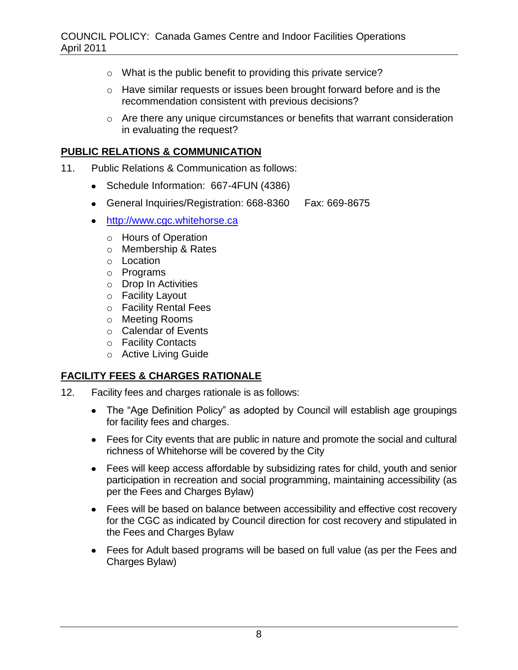- o What is the public benefit to providing this private service?
- o Have similar requests or issues been brought forward before and is the recommendation consistent with previous decisions?
- o Are there any unique circumstances or benefits that warrant consideration in evaluating the request?

#### **PUBLIC RELATIONS & COMMUNICATION**

- 11. Public Relations & Communication as follows:
	- Schedule Information: 667-4FUN (4386)
	- General Inquiries/Registration: 668-8360 Fax: 669-8675
	- [http://www.cgc.whitehorse.ca](http://www.cgc.whitehorse.ca/)
		- o Hours of Operation
		- o Membership & Rates
		- o Location
		- o Programs
		- o Drop In Activities
		- o Facility Layout
		- o Facility Rental Fees
		- o Meeting Rooms
		- o Calendar of Events
		- o Facility Contacts
		- o Active Living Guide

### **FACILITY FEES & CHARGES RATIONALE**

- 12. Facility fees and charges rationale is as follows:
	- The "Age Definition Policy" as adopted by Council will establish age groupings for facility fees and charges.
	- Fees for City events that are public in nature and promote the social and cultural richness of Whitehorse will be covered by the City
	- Fees will keep access affordable by subsidizing rates for child, youth and senior participation in recreation and social programming, maintaining accessibility (as per the Fees and Charges Bylaw)
	- Fees will be based on balance between accessibility and effective cost recovery for the CGC as indicated by Council direction for cost recovery and stipulated in the Fees and Charges Bylaw
	- Fees for Adult based programs will be based on full value (as per the Fees and Charges Bylaw)